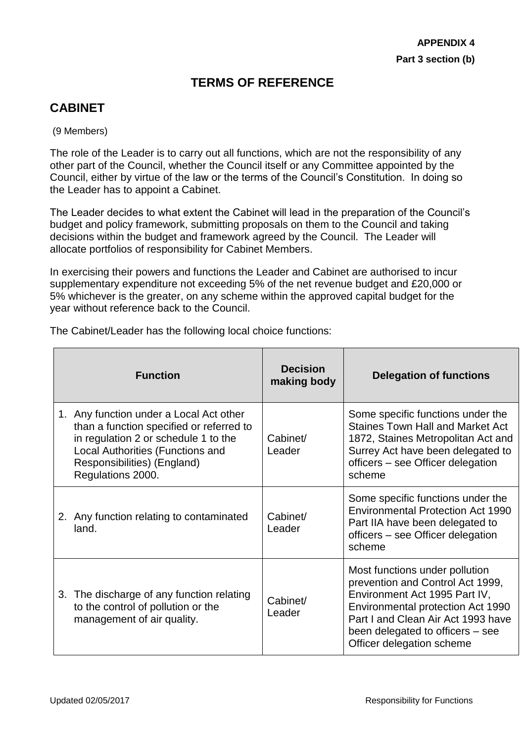# **TERMS OF REFERENCE**

# **CABINET**

#### (9 Members)

 $\blacksquare$ 

The role of the Leader is to carry out all functions, which are not the responsibility of any other part of the Council, whether the Council itself or any Committee appointed by the Council, either by virtue of the law or the terms of the Council's Constitution. In doing so the Leader has to appoint a Cabinet.

The Leader decides to what extent the Cabinet will lead in the preparation of the Council's budget and policy framework, submitting proposals on them to the Council and taking decisions within the budget and framework agreed by the Council. The Leader will allocate portfolios of responsibility for Cabinet Members.

In exercising their powers and functions the Leader and Cabinet are authorised to incur supplementary expenditure not exceeding 5% of the net revenue budget and £20,000 or 5% whichever is the greater, on any scheme within the approved capital budget for the year without reference back to the Council.

|    | <b>Function</b>                                                                                                                                                                                                            | <b>Decision</b><br>making body | <b>Delegation of functions</b>                                                                                                                                                                                                                  |
|----|----------------------------------------------------------------------------------------------------------------------------------------------------------------------------------------------------------------------------|--------------------------------|-------------------------------------------------------------------------------------------------------------------------------------------------------------------------------------------------------------------------------------------------|
|    | 1. Any function under a Local Act other<br>than a function specified or referred to<br>in regulation 2 or schedule 1 to the<br><b>Local Authorities (Functions and</b><br>Responsibilities) (England)<br>Regulations 2000. | Cabinet/<br>Leader             | Some specific functions under the<br><b>Staines Town Hall and Market Act</b><br>1872, Staines Metropolitan Act and<br>Surrey Act have been delegated to<br>officers – see Officer delegation<br>scheme                                          |
|    | 2. Any function relating to contaminated<br>land.                                                                                                                                                                          | Cabinet/<br>Leader             | Some specific functions under the<br><b>Environmental Protection Act 1990</b><br>Part IIA have been delegated to<br>officers – see Officer delegation<br>scheme                                                                                 |
| 3. | The discharge of any function relating<br>to the control of pollution or the<br>management of air quality.                                                                                                                 | Cabinet/<br>Leader             | Most functions under pollution<br>prevention and Control Act 1999,<br>Environment Act 1995 Part IV,<br>Environmental protection Act 1990<br>Part I and Clean Air Act 1993 have<br>been delegated to officers – see<br>Officer delegation scheme |

The Cabinet/Leader has the following local choice functions: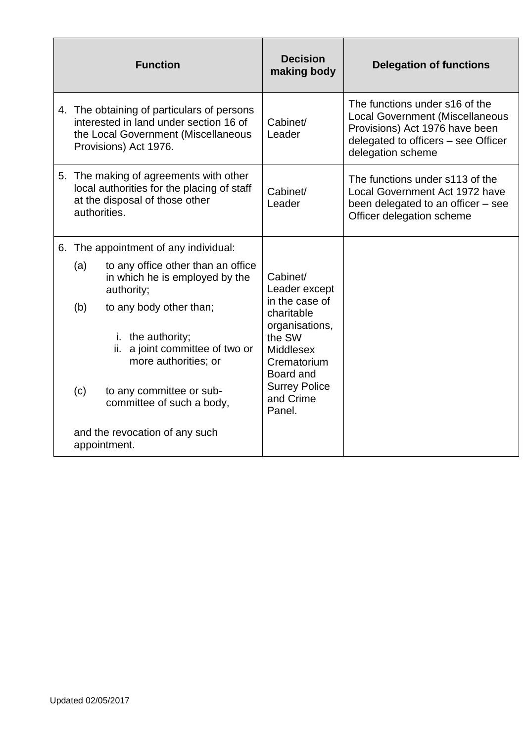| <b>Function</b> |              | <b>Decision</b><br>making body                                                                                                                       | <b>Delegation of functions</b>                                                                                                        |                                                                                                                                                                        |
|-----------------|--------------|------------------------------------------------------------------------------------------------------------------------------------------------------|---------------------------------------------------------------------------------------------------------------------------------------|------------------------------------------------------------------------------------------------------------------------------------------------------------------------|
|                 |              | 4. The obtaining of particulars of persons<br>interested in land under section 16 of<br>the Local Government (Miscellaneous<br>Provisions) Act 1976. | Cabinet/<br>Leader                                                                                                                    | The functions under s16 of the<br><b>Local Government (Miscellaneous</b><br>Provisions) Act 1976 have been<br>delegated to officers – see Officer<br>delegation scheme |
|                 | authorities. | 5. The making of agreements with other<br>local authorities for the placing of staff<br>at the disposal of those other                               | Cabinet/<br>Leader                                                                                                                    | The functions under s113 of the<br>Local Government Act 1972 have<br>been delegated to an officer – see<br>Officer delegation scheme                                   |
|                 |              | 6. The appointment of any individual:                                                                                                                |                                                                                                                                       |                                                                                                                                                                        |
|                 | (a)          | to any office other than an office<br>in which he is employed by the<br>authority;                                                                   | Cabinet/<br>Leader except<br>in the case of<br>charitable<br>organisations,<br>the SW<br><b>Middlesex</b><br>Crematorium<br>Board and |                                                                                                                                                                        |
|                 | (b)          | to any body other than;                                                                                                                              |                                                                                                                                       |                                                                                                                                                                        |
|                 |              | i. the authority;<br>a joint committee of two or<br>ii.<br>more authorities; or                                                                      |                                                                                                                                       |                                                                                                                                                                        |
|                 | (c)          | to any committee or sub-<br>committee of such a body,                                                                                                | <b>Surrey Police</b><br>and Crime<br>Panel.                                                                                           |                                                                                                                                                                        |
|                 |              | and the revocation of any such<br>appointment.                                                                                                       |                                                                                                                                       |                                                                                                                                                                        |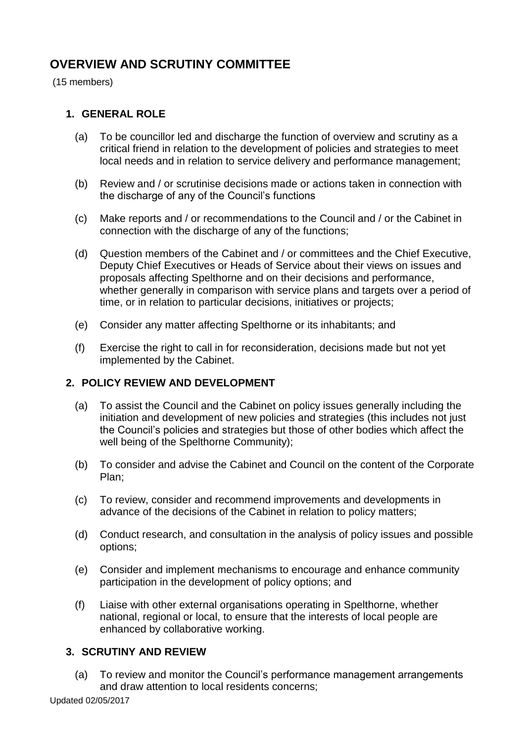# **OVERVIEW AND SCRUTINY COMMITTEE**

(15 members)

#### **1. GENERAL ROLE**

- (a) To be councillor led and discharge the function of overview and scrutiny as a critical friend in relation to the development of policies and strategies to meet local needs and in relation to service delivery and performance management;
- (b) Review and / or scrutinise decisions made or actions taken in connection with the discharge of any of the Council's functions
- (c) Make reports and / or recommendations to the Council and / or the Cabinet in connection with the discharge of any of the functions;
- (d) Question members of the Cabinet and / or committees and the Chief Executive, Deputy Chief Executives or Heads of Service about their views on issues and proposals affecting Spelthorne and on their decisions and performance, whether generally in comparison with service plans and targets over a period of time, or in relation to particular decisions, initiatives or projects;
- (e) Consider any matter affecting Spelthorne or its inhabitants; and
- (f) Exercise the right to call in for reconsideration, decisions made but not yet implemented by the Cabinet.

#### **2. POLICY REVIEW AND DEVELOPMENT**

- (a) To assist the Council and the Cabinet on policy issues generally including the initiation and development of new policies and strategies (this includes not just the Council's policies and strategies but those of other bodies which affect the well being of the Spelthorne Community);
- (b) To consider and advise the Cabinet and Council on the content of the Corporate Plan;
- (c) To review, consider and recommend improvements and developments in advance of the decisions of the Cabinet in relation to policy matters;
- (d) Conduct research, and consultation in the analysis of policy issues and possible options;
- (e) Consider and implement mechanisms to encourage and enhance community participation in the development of policy options; and
- (f) Liaise with other external organisations operating in Spelthorne, whether national, regional or local, to ensure that the interests of local people are enhanced by collaborative working.

#### **3. SCRUTINY AND REVIEW**

(a) To review and monitor the Council's performance management arrangements and draw attention to local residents concerns;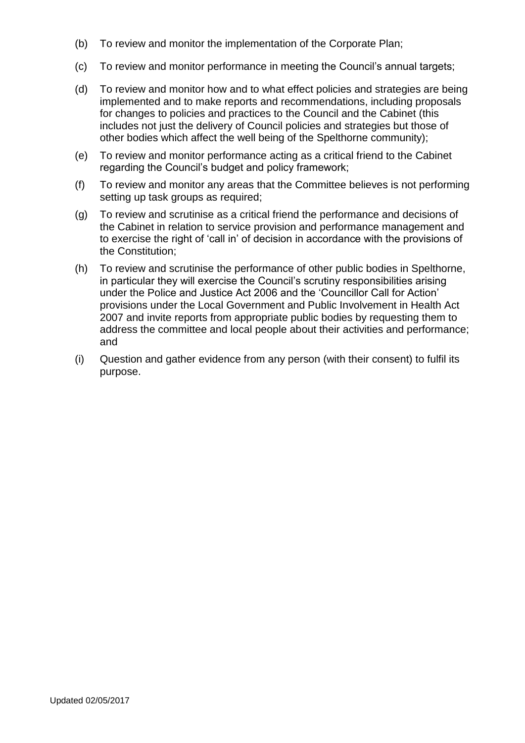- (b) To review and monitor the implementation of the Corporate Plan;
- (c) To review and monitor performance in meeting the Council's annual targets;
- (d) To review and monitor how and to what effect policies and strategies are being implemented and to make reports and recommendations, including proposals for changes to policies and practices to the Council and the Cabinet (this includes not just the delivery of Council policies and strategies but those of other bodies which affect the well being of the Spelthorne community);
- (e) To review and monitor performance acting as a critical friend to the Cabinet regarding the Council's budget and policy framework;
- (f) To review and monitor any areas that the Committee believes is not performing setting up task groups as required;
- (g) To review and scrutinise as a critical friend the performance and decisions of the Cabinet in relation to service provision and performance management and to exercise the right of 'call in' of decision in accordance with the provisions of the Constitution;
- (h) To review and scrutinise the performance of other public bodies in Spelthorne, in particular they will exercise the Council's scrutiny responsibilities arising under the Police and Justice Act 2006 and the 'Councillor Call for Action' provisions under the Local Government and Public Involvement in Health Act 2007 and invite reports from appropriate public bodies by requesting them to address the committee and local people about their activities and performance; and
- (i) Question and gather evidence from any person (with their consent) to fulfil its purpose.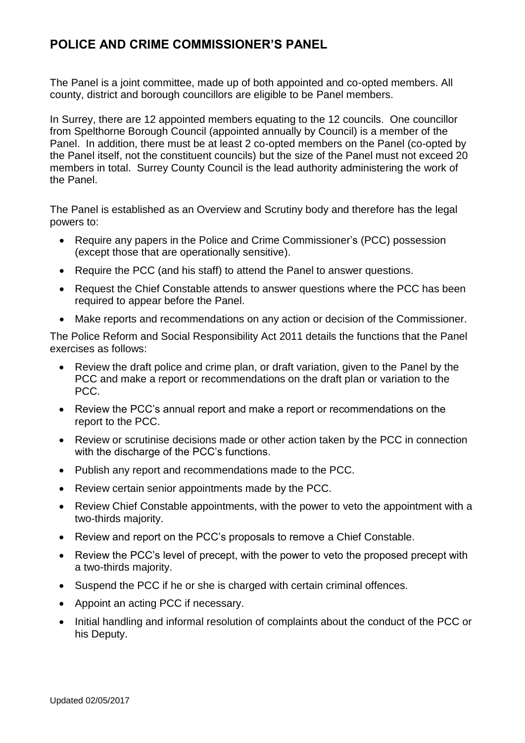# **POLICE AND CRIME COMMISSIONER'S PANEL**

The Panel is a joint committee, made up of both appointed and co-opted members. All county, district and borough councillors are eligible to be Panel members.

In Surrey, there are 12 appointed members equating to the 12 councils. One councillor from Spelthorne Borough Council (appointed annually by Council) is a member of the Panel. In addition, there must be at least 2 co-opted members on the Panel (co-opted by the Panel itself, not the constituent councils) but the size of the Panel must not exceed 20 members in total. Surrey County Council is the lead authority administering the work of the Panel.

The Panel is established as an Overview and Scrutiny body and therefore has the legal powers to:

- Require any papers in the Police and Crime Commissioner's (PCC) possession (except those that are operationally sensitive).
- Require the PCC (and his staff) to attend the Panel to answer questions.
- Request the Chief Constable attends to answer questions where the PCC has been required to appear before the Panel.
- Make reports and recommendations on any action or decision of the Commissioner.

The Police Reform and Social Responsibility Act 2011 details the functions that the Panel exercises as follows:

- Review the draft police and crime plan, or draft variation, given to the Panel by the PCC and make a report or recommendations on the draft plan or variation to the PCC.
- Review the PCC's annual report and make a report or recommendations on the report to the PCC.
- Review or scrutinise decisions made or other action taken by the PCC in connection with the discharge of the PCC's functions.
- Publish any report and recommendations made to the PCC.
- Review certain senior appointments made by the PCC.
- Review Chief Constable appointments, with the power to veto the appointment with a two-thirds majority.
- Review and report on the PCC's proposals to remove a Chief Constable.
- Review the PCC's level of precept, with the power to veto the proposed precept with a two-thirds majority.
- Suspend the PCC if he or she is charged with certain criminal offences.
- Appoint an acting PCC if necessary.
- Initial handling and informal resolution of complaints about the conduct of the PCC or his Deputy.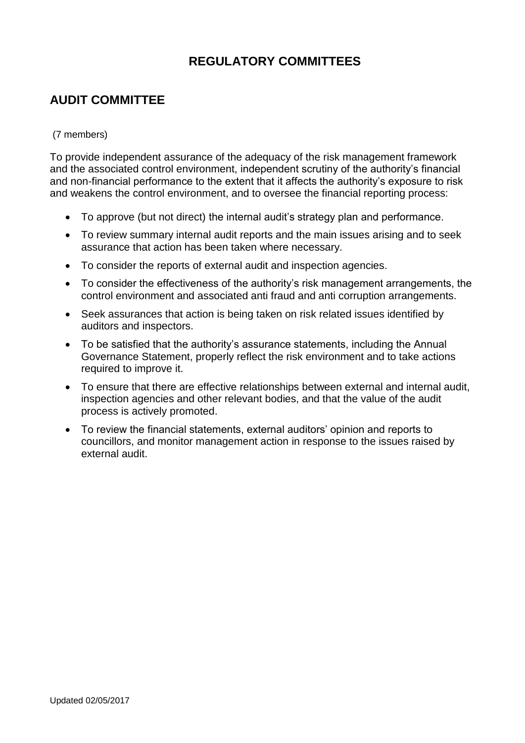# **REGULATORY COMMITTEES**

# **AUDIT COMMITTEE**

#### (7 members)

To provide independent assurance of the adequacy of the risk management framework and the associated control environment, independent scrutiny of the authority's financial and non-financial performance to the extent that it affects the authority's exposure to risk and weakens the control environment, and to oversee the financial reporting process:

- To approve (but not direct) the internal audit's strategy plan and performance.
- To review summary internal audit reports and the main issues arising and to seek assurance that action has been taken where necessary.
- To consider the reports of external audit and inspection agencies.
- To consider the effectiveness of the authority's risk management arrangements, the control environment and associated anti fraud and anti corruption arrangements.
- Seek assurances that action is being taken on risk related issues identified by auditors and inspectors.
- To be satisfied that the authority's assurance statements, including the Annual Governance Statement, properly reflect the risk environment and to take actions required to improve it.
- To ensure that there are effective relationships between external and internal audit, inspection agencies and other relevant bodies, and that the value of the audit process is actively promoted.
- To review the financial statements, external auditors' opinion and reports to councillors, and monitor management action in response to the issues raised by external audit.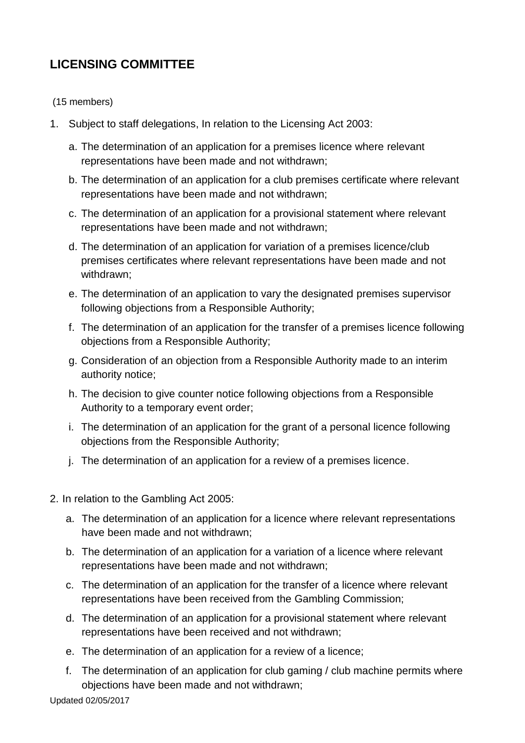# **LICENSING COMMITTEE**

(15 members)

- 1. Subject to staff delegations, In relation to the Licensing Act 2003:
	- a. The determination of an application for a premises licence where relevant representations have been made and not withdrawn;
	- b. The determination of an application for a club premises certificate where relevant representations have been made and not withdrawn;
	- c. The determination of an application for a provisional statement where relevant representations have been made and not withdrawn;
	- d. The determination of an application for variation of a premises licence/club premises certificates where relevant representations have been made and not withdrawn;
	- e. The determination of an application to vary the designated premises supervisor following objections from a Responsible Authority;
	- f. The determination of an application for the transfer of a premises licence following objections from a Responsible Authority;
	- g. Consideration of an objection from a Responsible Authority made to an interim authority notice;
	- h. The decision to give counter notice following objections from a Responsible Authority to a temporary event order;
	- i. The determination of an application for the grant of a personal licence following objections from the Responsible Authority;
	- j. The determination of an application for a review of a premises licence.
- 2. In relation to the Gambling Act 2005:
	- a. The determination of an application for a licence where relevant representations have been made and not withdrawn;
	- b. The determination of an application for a variation of a licence where relevant representations have been made and not withdrawn;
	- c. The determination of an application for the transfer of a licence where relevant representations have been received from the Gambling Commission;
	- d. The determination of an application for a provisional statement where relevant representations have been received and not withdrawn;
	- e. The determination of an application for a review of a licence;
	- f. The determination of an application for club gaming / club machine permits where objections have been made and not withdrawn;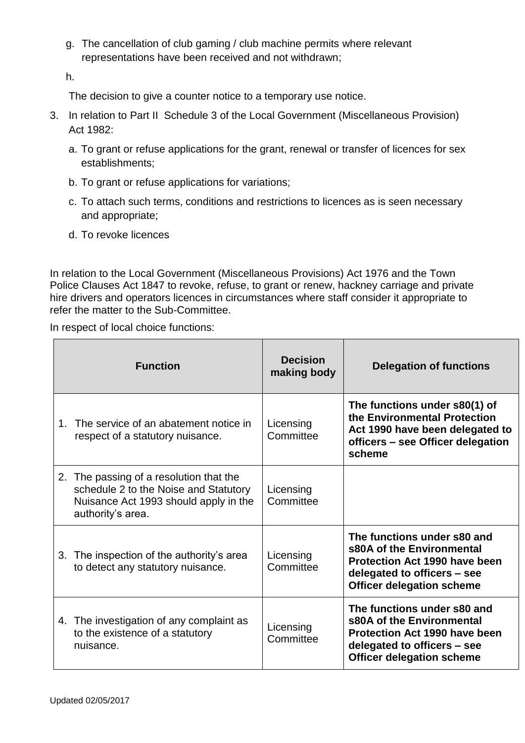g. The cancellation of club gaming / club machine permits where relevant representations have been received and not withdrawn;

h.

The decision to give a counter notice to a temporary use notice.

- 3. In relation to Part II Schedule 3 of the Local Government (Miscellaneous Provision) Act 1982:
	- a. To grant or refuse applications for the grant, renewal or transfer of licences for sex establishments;
	- b. To grant or refuse applications for variations;
	- c. To attach such terms, conditions and restrictions to licences as is seen necessary and appropriate;
	- d. To revoke licences

In relation to the Local Government (Miscellaneous Provisions) Act 1976 and the Town Police Clauses Act 1847 to revoke, refuse, to grant or renew, hackney carriage and private hire drivers and operators licences in circumstances where staff consider it appropriate to refer the matter to the Sub-Committee.

In respect of local choice functions:

|         | <b>Function</b>                                                                                                                                | <b>Decision</b><br>making body | <b>Delegation of functions</b>                                                                                                                                      |
|---------|------------------------------------------------------------------------------------------------------------------------------------------------|--------------------------------|---------------------------------------------------------------------------------------------------------------------------------------------------------------------|
| $1_{-}$ | The service of an abatement notice in<br>respect of a statutory nuisance.                                                                      | Licensing<br>Committee         | The functions under s80(1) of<br>the Environmental Protection<br>Act 1990 have been delegated to<br>officers - see Officer delegation<br>scheme                     |
|         | 2. The passing of a resolution that the<br>schedule 2 to the Noise and Statutory<br>Nuisance Act 1993 should apply in the<br>authority's area. | Licensing<br>Committee         |                                                                                                                                                                     |
|         | 3. The inspection of the authority's area<br>to detect any statutory nuisance.                                                                 | Licensing<br>Committee         | The functions under s80 and<br>s80A of the Environmental<br><b>Protection Act 1990 have been</b><br>delegated to officers - see<br><b>Officer delegation scheme</b> |
|         | 4. The investigation of any complaint as<br>to the existence of a statutory<br>nuisance.                                                       | Licensing<br>Committee         | The functions under s80 and<br>s80A of the Environmental<br><b>Protection Act 1990 have been</b><br>delegated to officers – see<br><b>Officer delegation scheme</b> |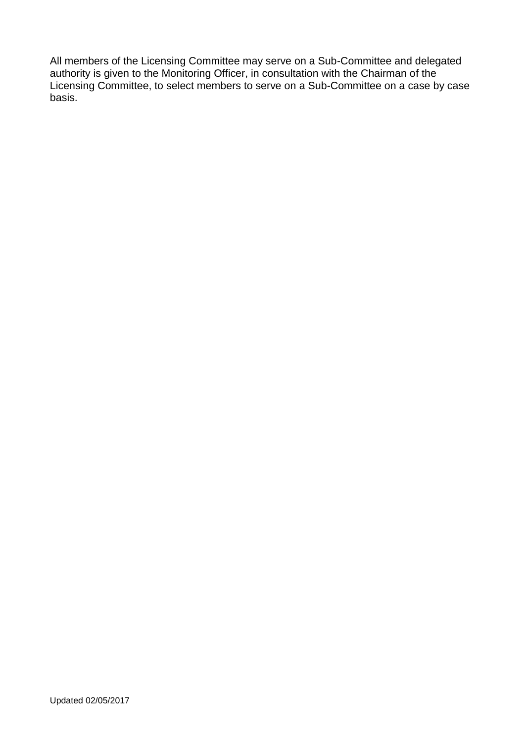All members of the Licensing Committee may serve on a Sub-Committee and delegated authority is given to the Monitoring Officer, in consultation with the Chairman of the Licensing Committee, to select members to serve on a Sub-Committee on a case by case basis.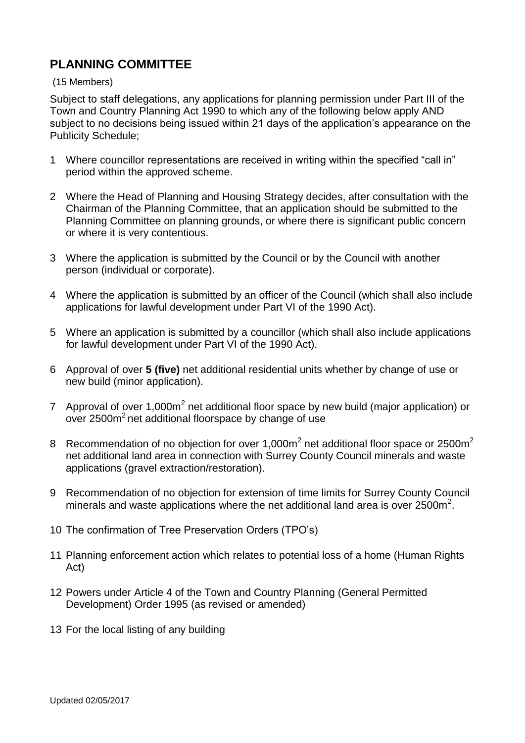### **PLANNING COMMITTEE**

#### (15 Members)

Subject to staff delegations, any applications for planning permission under Part III of the Town and Country Planning Act 1990 to which any of the following below apply AND subject to no decisions being issued within 21 days of the application's appearance on the Publicity Schedule;

- 1 Where councillor representations are received in writing within the specified "call in" period within the approved scheme.
- 2 Where the Head of Planning and Housing Strategy decides, after consultation with the Chairman of the Planning Committee, that an application should be submitted to the Planning Committee on planning grounds, or where there is significant public concern or where it is very contentious.
- 3 Where the application is submitted by the Council or by the Council with another person (individual or corporate).
- 4 Where the application is submitted by an officer of the Council (which shall also include applications for lawful development under Part VI of the 1990 Act).
- 5 Where an application is submitted by a councillor (which shall also include applications for lawful development under Part VI of the 1990 Act).
- 6 Approval of over **5 (five)** net additional residential units whether by change of use or new build (minor application).
- 7 Approval of over 1,000 $m^2$  net additional floor space by new build (major application) or over  $2500m^2$  net additional floorspace by change of use
- 8 Recommendation of no objection for over 1,000 $m^2$  net additional floor space or 2500 $m^2$ net additional land area in connection with Surrey County Council minerals and waste applications (gravel extraction/restoration).
- 9 Recommendation of no objection for extension of time limits for Surrey County Council minerals and waste applications where the net additional land area is over 2500m<sup>2</sup>.
- 10 The confirmation of Tree Preservation Orders (TPO's)
- 11 Planning enforcement action which relates to potential loss of a home (Human Rights Act)
- 12 Powers under Article 4 of the Town and Country Planning (General Permitted Development) Order 1995 (as revised or amended)
- 13 For the local listing of any building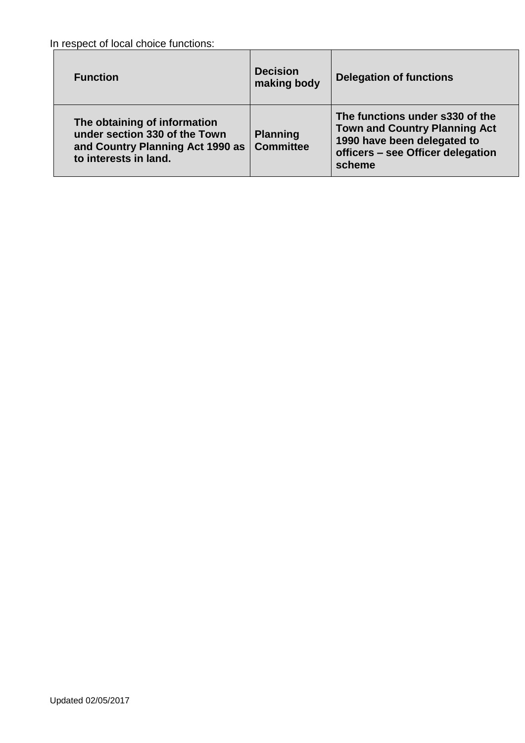In respect of local choice functions:

| <b>Function</b>                                                                                                            | <b>Decision</b><br>making body      | <b>Delegation of functions</b>                                                                                                                        |
|----------------------------------------------------------------------------------------------------------------------------|-------------------------------------|-------------------------------------------------------------------------------------------------------------------------------------------------------|
| The obtaining of information<br>under section 330 of the Town<br>and Country Planning Act 1990 as<br>to interests in land. | <b>Planning</b><br><b>Committee</b> | The functions under s330 of the<br><b>Town and Country Planning Act</b><br>1990 have been delegated to<br>officers - see Officer delegation<br>scheme |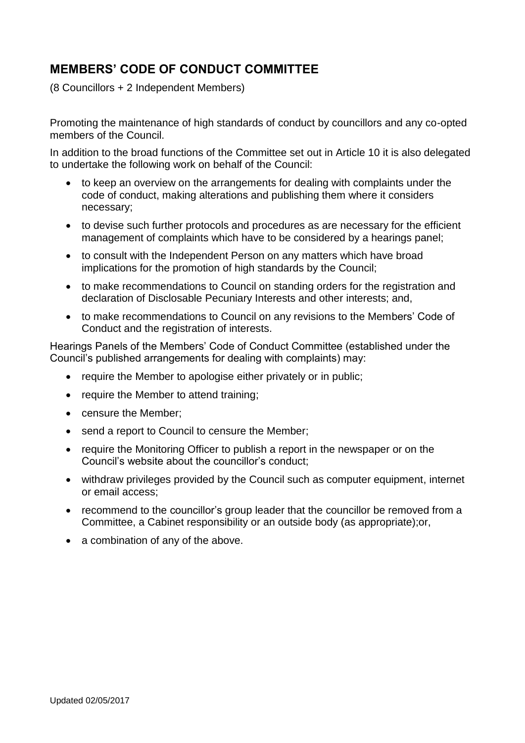# **MEMBERS' CODE OF CONDUCT COMMITTEE**

(8 Councillors + 2 Independent Members)

Promoting the maintenance of high standards of conduct by councillors and any co-opted members of the Council.

In addition to the broad functions of the Committee set out in Article 10 it is also delegated to undertake the following work on behalf of the Council:

- to keep an overview on the arrangements for dealing with complaints under the code of conduct, making alterations and publishing them where it considers necessary;
- to devise such further protocols and procedures as are necessary for the efficient management of complaints which have to be considered by a hearings panel;
- to consult with the Independent Person on any matters which have broad implications for the promotion of high standards by the Council;
- to make recommendations to Council on standing orders for the registration and declaration of Disclosable Pecuniary Interests and other interests; and,
- to make recommendations to Council on any revisions to the Members' Code of Conduct and the registration of interests.

Hearings Panels of the Members' Code of Conduct Committee (established under the Council's published arrangements for dealing with complaints) may:

- require the Member to apologise either privately or in public;
- require the Member to attend training;
- censure the Member;
- send a report to Council to censure the Member;
- require the Monitoring Officer to publish a report in the newspaper or on the Council's website about the councillor's conduct;
- withdraw privileges provided by the Council such as computer equipment, internet or email access;
- recommend to the councillor's group leader that the councillor be removed from a Committee, a Cabinet responsibility or an outside body (as appropriate);or,
- a combination of any of the above.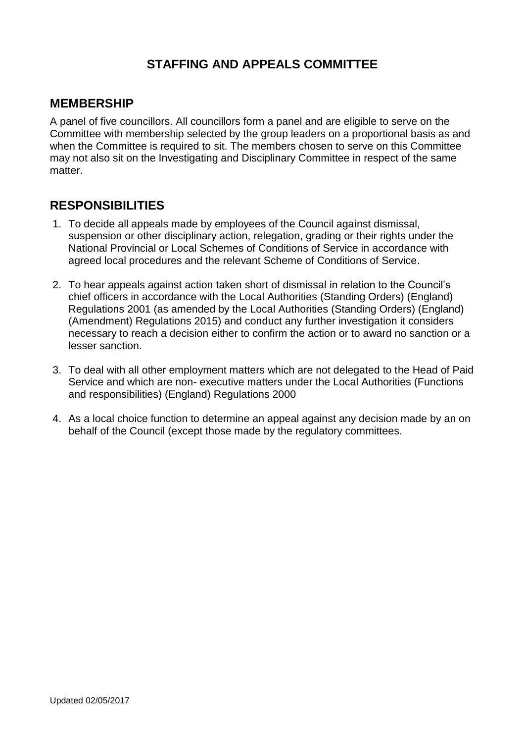## **STAFFING AND APPEALS COMMITTEE**

#### **MEMBERSHIP**

A panel of five councillors. All councillors form a panel and are eligible to serve on the Committee with membership selected by the group leaders on a proportional basis as and when the Committee is required to sit. The members chosen to serve on this Committee may not also sit on the Investigating and Disciplinary Committee in respect of the same matter.

# **RESPONSIBILITIES**

- 1. To decide all appeals made by employees of the Council against dismissal, suspension or other disciplinary action, relegation, grading or their rights under the National Provincial or Local Schemes of Conditions of Service in accordance with agreed local procedures and the relevant Scheme of Conditions of Service.
- 2. To hear appeals against action taken short of dismissal in relation to the Council's chief officers in accordance with the Local Authorities (Standing Orders) (England) Regulations 2001 (as amended by the Local Authorities (Standing Orders) (England) (Amendment) Regulations 2015) and conduct any further investigation it considers necessary to reach a decision either to confirm the action or to award no sanction or a lesser sanction.
- 3. To deal with all other employment matters which are not delegated to the Head of Paid Service and which are non- executive matters under the Local Authorities (Functions and responsibilities) (England) Regulations 2000
- 4. As a local choice function to determine an appeal against any decision made by an on behalf of the Council (except those made by the regulatory committees.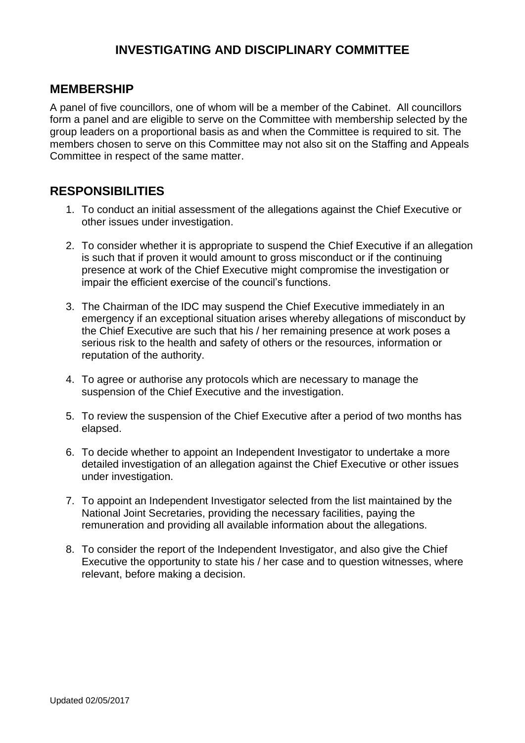# **INVESTIGATING AND DISCIPLINARY COMMITTEE**

### **MEMBERSHIP**

A panel of five councillors, one of whom will be a member of the Cabinet. All councillors form a panel and are eligible to serve on the Committee with membership selected by the group leaders on a proportional basis as and when the Committee is required to sit. The members chosen to serve on this Committee may not also sit on the Staffing and Appeals Committee in respect of the same matter.

### **RESPONSIBILITIES**

- 1. To conduct an initial assessment of the allegations against the Chief Executive or other issues under investigation.
- 2. To consider whether it is appropriate to suspend the Chief Executive if an allegation is such that if proven it would amount to gross misconduct or if the continuing presence at work of the Chief Executive might compromise the investigation or impair the efficient exercise of the council's functions.
- 3. The Chairman of the IDC may suspend the Chief Executive immediately in an emergency if an exceptional situation arises whereby allegations of misconduct by the Chief Executive are such that his / her remaining presence at work poses a serious risk to the health and safety of others or the resources, information or reputation of the authority.
- 4. To agree or authorise any protocols which are necessary to manage the suspension of the Chief Executive and the investigation.
- 5. To review the suspension of the Chief Executive after a period of two months has elapsed.
- 6. To decide whether to appoint an Independent Investigator to undertake a more detailed investigation of an allegation against the Chief Executive or other issues under investigation.
- 7. To appoint an Independent Investigator selected from the list maintained by the National Joint Secretaries, providing the necessary facilities, paying the remuneration and providing all available information about the allegations.
- 8. To consider the report of the Independent Investigator, and also give the Chief Executive the opportunity to state his / her case and to question witnesses, where relevant, before making a decision.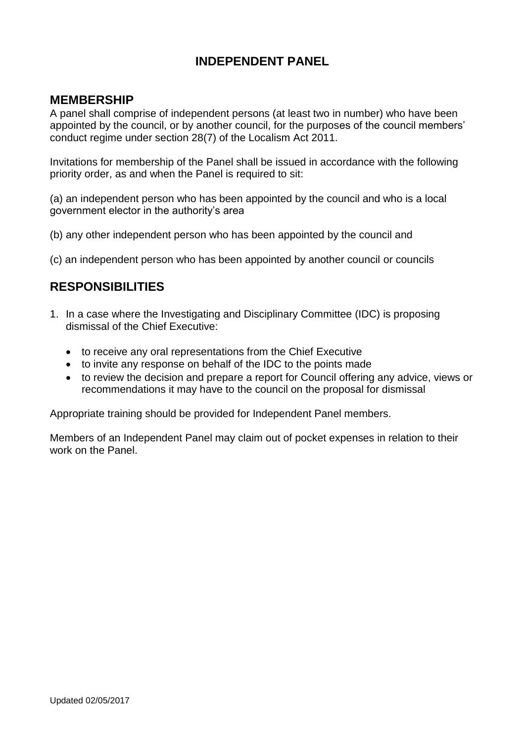# **INDEPENDENT PANEL**

### **MEMBERSHIP**

A panel shall comprise of independent persons (at least two in number) who have been appointed by the council, or by another council, for the purposes of the council members' conduct regime under section 28(7) of the Localism Act 2011.

Invitations for membership of the Panel shall be issued in accordance with the following priority order, as and when the Panel is required to sit:

(a) an independent person who has been appointed by the council and who is a local government elector in the authority's area

- (b) any other independent person who has been appointed by the council and
- (c) an independent person who has been appointed by another council or councils

### **RESPONSIBILITIES**

- 1. In a case where the Investigating and Disciplinary Committee (IDC) is proposing dismissal of the Chief Executive:
	- to receive any oral representations from the Chief Executive
	- to invite any response on behalf of the IDC to the points made
	- to review the decision and prepare a report for Council offering any advice, views or recommendations it may have to the council on the proposal for dismissal

Appropriate training should be provided for Independent Panel members.

Members of an Independent Panel may claim out of pocket expenses in relation to their work on the Panel.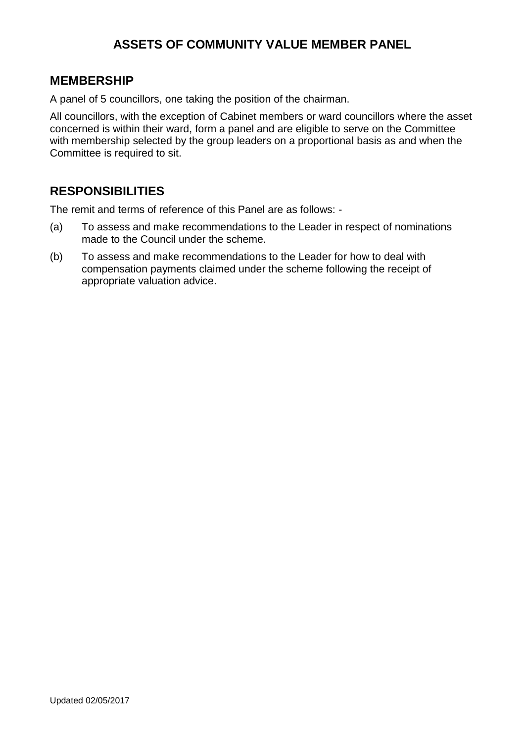# **ASSETS OF COMMUNITY VALUE MEMBER PANEL**

#### **MEMBERSHIP**

A panel of 5 councillors, one taking the position of the chairman.

All councillors, with the exception of Cabinet members or ward councillors where the asset concerned is within their ward, form a panel and are eligible to serve on the Committee with membership selected by the group leaders on a proportional basis as and when the Committee is required to sit.

# **RESPONSIBILITIES**

The remit and terms of reference of this Panel are as follows: -

- (a) To assess and make recommendations to the Leader in respect of nominations made to the Council under the scheme.
- (b) To assess and make recommendations to the Leader for how to deal with compensation payments claimed under the scheme following the receipt of appropriate valuation advice.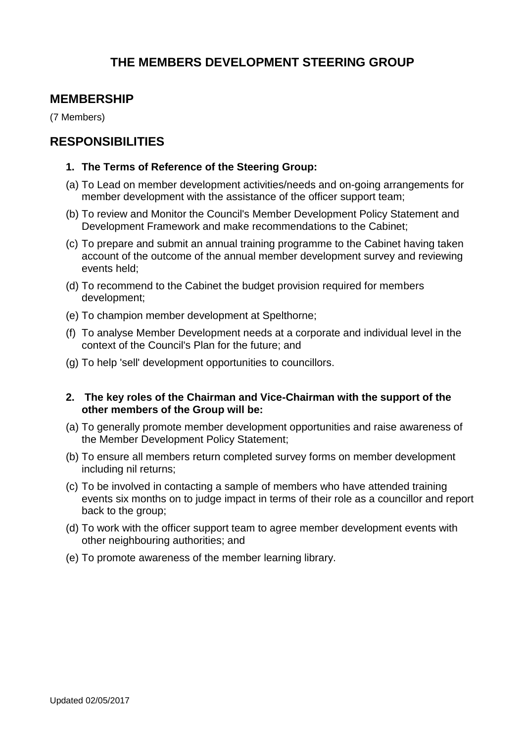# **THE MEMBERS DEVELOPMENT STEERING GROUP**

### **MEMBERSHIP**

(7 Members)

#### **RESPONSIBILITIES**

#### **1. The Terms of Reference of the Steering Group:**

- (a) To Lead on member development activities/needs and on-going arrangements for member development with the assistance of the officer support team;
- (b) To review and Monitor the Council's Member Development Policy Statement and Development Framework and make recommendations to the Cabinet;
- (c) To prepare and submit an annual training programme to the Cabinet having taken account of the outcome of the annual member development survey and reviewing events held;
- (d) To recommend to the Cabinet the budget provision required for members development;
- (e) To champion member development at Spelthorne;
- (f) To analyse Member Development needs at a corporate and individual level in the context of the Council's Plan for the future; and
- (g) To help 'sell' development opportunities to councillors.
- **2. The key roles of the Chairman and Vice-Chairman with the support of the other members of the Group will be:**
- (a) To generally promote member development opportunities and raise awareness of the Member Development Policy Statement;
- (b) To ensure all members return completed survey forms on member development including nil returns;
- (c) To be involved in contacting a sample of members who have attended training events six months on to judge impact in terms of their role as a councillor and report back to the group;
- (d) To work with the officer support team to agree member development events with other neighbouring authorities; and
- (e) To promote awareness of the member learning library.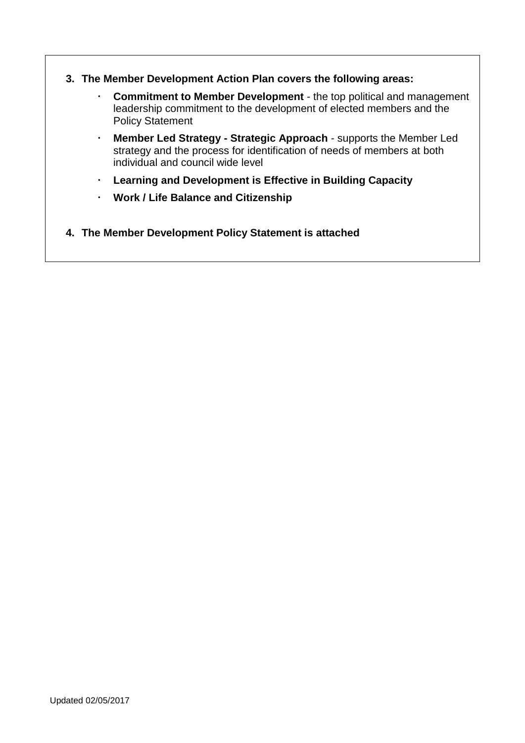- **3. The Member Development Action Plan covers the following areas:**
	- **Commitment to Member Development**  the top political and management leadership commitment to the development of elected members and the Policy Statement
	- **Member Led Strategy - Strategic Approach** supports the Member Led strategy and the process for identification of needs of members at both individual and council wide level
	- **Learning and Development is Effective in Building Capacity**
	- **Work / Life Balance and Citizenship**
- **4. The Member Development Policy Statement is attached**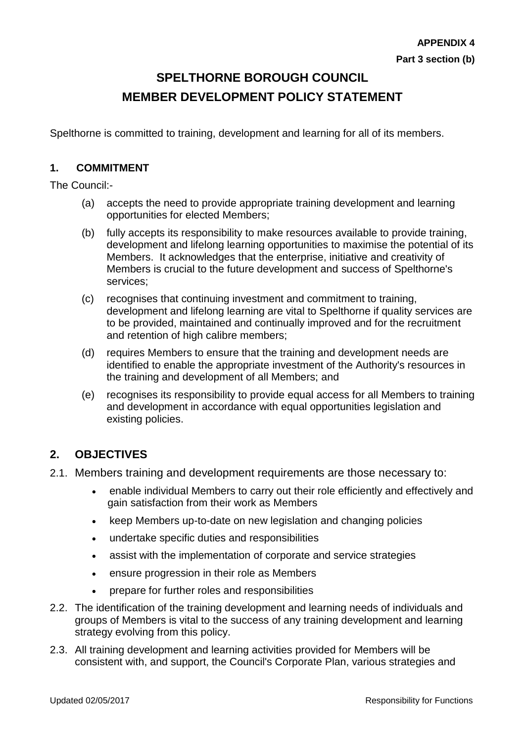# **SPELTHORNE BOROUGH COUNCIL MEMBER DEVELOPMENT POLICY STATEMENT**

Spelthorne is committed to training, development and learning for all of its members.

#### **1. COMMITMENT**

The Council:-

- (a) accepts the need to provide appropriate training development and learning opportunities for elected Members;
- (b) fully accepts its responsibility to make resources available to provide training, development and lifelong learning opportunities to maximise the potential of its Members. It acknowledges that the enterprise, initiative and creativity of Members is crucial to the future development and success of Spelthorne's services;
- (c) recognises that continuing investment and commitment to training, development and lifelong learning are vital to Spelthorne if quality services are to be provided, maintained and continually improved and for the recruitment and retention of high calibre members;
- (d) requires Members to ensure that the training and development needs are identified to enable the appropriate investment of the Authority's resources in the training and development of all Members; and
- (e) recognises its responsibility to provide equal access for all Members to training and development in accordance with equal opportunities legislation and existing policies.

#### **2. OBJECTIVES**

- 2.1. Members training and development requirements are those necessary to:
	- enable individual Members to carry out their role efficiently and effectively and gain satisfaction from their work as Members
	- keep Members up-to-date on new legislation and changing policies
	- undertake specific duties and responsibilities
	- assist with the implementation of corporate and service strategies
	- ensure progression in their role as Members
	- prepare for further roles and responsibilities
- 2.2. The identification of the training development and learning needs of individuals and groups of Members is vital to the success of any training development and learning strategy evolving from this policy.
- 2.3. All training development and learning activities provided for Members will be consistent with, and support, the Council's Corporate Plan, various strategies and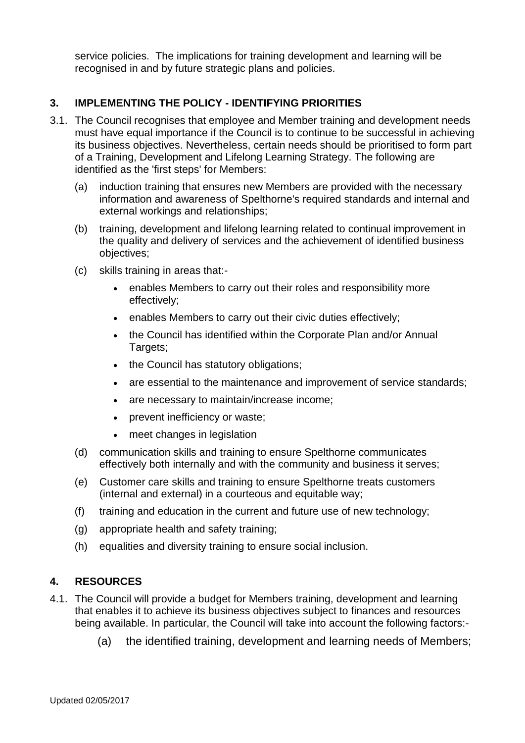service policies. The implications for training development and learning will be recognised in and by future strategic plans and policies.

#### **3. IMPLEMENTING THE POLICY - IDENTIFYING PRIORITIES**

- 3.1. The Council recognises that employee and Member training and development needs must have equal importance if the Council is to continue to be successful in achieving its business objectives. Nevertheless, certain needs should be prioritised to form part of a Training, Development and Lifelong Learning Strategy. The following are identified as the 'first steps' for Members:
	- (a) induction training that ensures new Members are provided with the necessary information and awareness of Spelthorne's required standards and internal and external workings and relationships;
	- (b) training, development and lifelong learning related to continual improvement in the quality and delivery of services and the achievement of identified business objectives;
	- (c) skills training in areas that:-
		- enables Members to carry out their roles and responsibility more effectively;
		- enables Members to carry out their civic duties effectively;
		- the Council has identified within the Corporate Plan and/or Annual Targets;
		- the Council has statutory obligations;
		- are essential to the maintenance and improvement of service standards;
		- are necessary to maintain/increase income;
		- prevent inefficiency or waste;
		- meet changes in legislation
	- (d) communication skills and training to ensure Spelthorne communicates effectively both internally and with the community and business it serves;
	- (e) Customer care skills and training to ensure Spelthorne treats customers (internal and external) in a courteous and equitable way;
	- (f) training and education in the current and future use of new technology;
	- (g) appropriate health and safety training;
	- (h) equalities and diversity training to ensure social inclusion.

#### **4. RESOURCES**

- 4.1. The Council will provide a budget for Members training, development and learning that enables it to achieve its business objectives subject to finances and resources being available. In particular, the Council will take into account the following factors:-
	- (a) the identified training, development and learning needs of Members;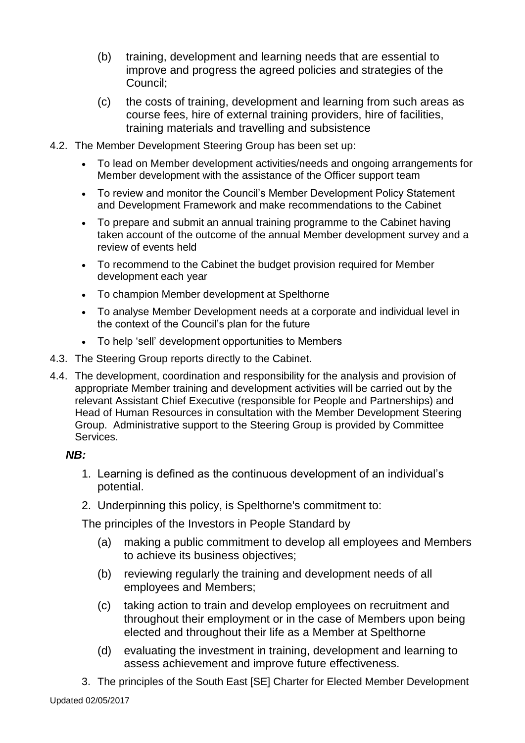- (b) training, development and learning needs that are essential to improve and progress the agreed policies and strategies of the Council;
- (c) the costs of training, development and learning from such areas as course fees, hire of external training providers, hire of facilities, training materials and travelling and subsistence
- 4.2. The Member Development Steering Group has been set up:
	- To lead on Member development activities/needs and ongoing arrangements for Member development with the assistance of the Officer support team
	- To review and monitor the Council's Member Development Policy Statement and Development Framework and make recommendations to the Cabinet
	- To prepare and submit an annual training programme to the Cabinet having taken account of the outcome of the annual Member development survey and a review of events held
	- To recommend to the Cabinet the budget provision required for Member development each year
	- To champion Member development at Spelthorne
	- To analyse Member Development needs at a corporate and individual level in the context of the Council's plan for the future
	- To help 'sell' development opportunities to Members
- 4.3. The Steering Group reports directly to the Cabinet.
- 4.4. The development, coordination and responsibility for the analysis and provision of appropriate Member training and development activities will be carried out by the relevant Assistant Chief Executive (responsible for People and Partnerships) and Head of Human Resources in consultation with the Member Development Steering Group. Administrative support to the Steering Group is provided by Committee Services.

#### *NB:*

- 1. Learning is defined as the continuous development of an individual's potential.
- 2. Underpinning this policy, is Spelthorne's commitment to:

The principles of the Investors in People Standard by

- (a) making a public commitment to develop all employees and Members to achieve its business objectives;
- (b) reviewing regularly the training and development needs of all employees and Members;
- (c) taking action to train and develop employees on recruitment and throughout their employment or in the case of Members upon being elected and throughout their life as a Member at Spelthorne
- (d) evaluating the investment in training, development and learning to assess achievement and improve future effectiveness.
- 3. The principles of the South East [SE] Charter for Elected Member Development